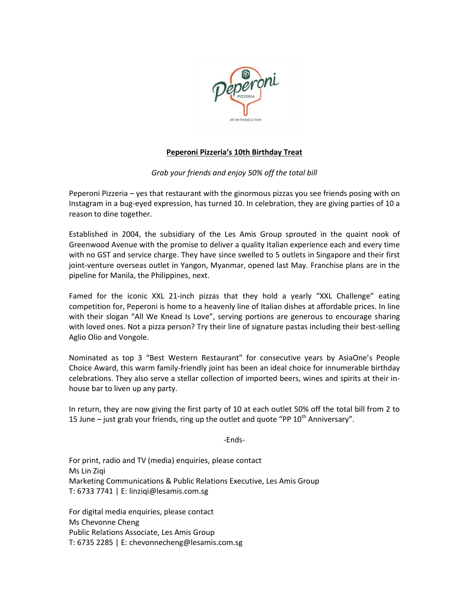

# **Peperoni Pizzeria's 10th Birthday Treat**

# *Grab your friends and enjoy 50% off the total bill*

Peperoni Pizzeria – yes that restaurant with the ginormous pizzas you see friends posing with on Instagram in a bug-eyed expression, has turned 10. In celebration, they are giving parties of 10 a reason to dine together.

Established in 2004, the subsidiary of the Les Amis Group sprouted in the quaint nook of Greenwood Avenue with the promise to deliver a quality Italian experience each and every time with no GST and service charge. They have since swelled to 5 outlets in Singapore and their first joint-venture overseas outlet in Yangon, Myanmar, opened last May. Franchise plans are in the pipeline for Manila, the Philippines, next.

Famed for the iconic XXL 21-inch pizzas that they hold a yearly "XXL Challenge" eating competition for, Peperoni is home to a heavenly line of Italian dishes at affordable prices. In line with their slogan "All We Knead Is Love", serving portions are generous to encourage sharing with loved ones. Not a pizza person? Try their line of signature pastas including their best-selling Aglio Olio and Vongole.

Nominated as top 3 "Best Western Restaurant" for consecutive years by AsiaOne's People Choice Award, this warm family-friendly joint has been an ideal choice for innumerable birthday celebrations. They also serve a stellar collection of imported beers, wines and spirits at their inhouse bar to liven up any party.

In return, they are now giving the first party of 10 at each outlet 50% off the total bill from 2 to 15 June – just grab your friends, ring up the outlet and quote "PP  $10<sup>th</sup>$  Anniversary".

-Ends-

For print, radio and TV (media) enquiries, please contact Ms Lin Ziqi Marketing Communications & Public Relations Executive, Les Amis Group T: 6733 7741 | E: linziqi@lesamis.com.sg

For digital media enquiries, please contact Ms Chevonne Cheng Public Relations Associate, Les Amis Group T: 6735 2285 | E: chevonnecheng@lesamis.com.sg